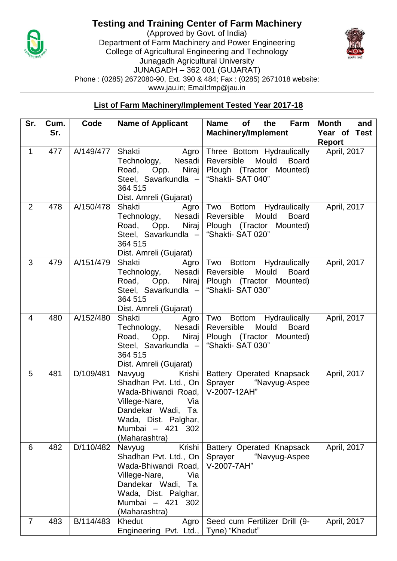

## **Testing and Training Center of Farm Machinery**

(Approved by Govt. of India) Department of Farm Machinery and Power Engineering College of Agricultural Engineering and Technology Junagadh Agricultural University JUNAGADH – 362 001 (GUJARAT) Phone : (0285) 2672080-90, Ext. 390 & 484; Fax : (0285) 2671018 website: www.jau.in; Email:fmp@jau.in



**List of Farm Machinery/Implement Tested Year 2017-18**

| Sr.            | Cum.<br>Sr. | Code      | <b>Name of Applicant</b>                                                                                                                                                          | <b>Name</b><br>the<br>Farm<br>of<br><b>Machinery/Implement</b>                                                    | <b>Month</b><br>and<br>Year of Test |
|----------------|-------------|-----------|-----------------------------------------------------------------------------------------------------------------------------------------------------------------------------------|-------------------------------------------------------------------------------------------------------------------|-------------------------------------|
|                |             |           |                                                                                                                                                                                   |                                                                                                                   | <b>Report</b>                       |
| $\mathbf{1}$   | 477         | A/149/477 | Shakti<br>Agro<br>Nesadi<br>Technology,<br>Niraj<br>Road, Opp.<br>Steel, Savarkundla -<br>364 515<br>Dist. Amreli (Gujarat)                                                       | Three Bottom Hydraulically<br>Mould<br>Reversible<br><b>Board</b><br>Plough (Tractor Mounted)<br>"Shakti-SAT 040" | April, 2017                         |
| $\overline{2}$ | 478         | A/150/478 | <b>Shakti</b> Shakti<br>Agro<br>Technology, Nesadi<br>Niraj<br>Road, Opp.<br>Steel, Savarkundla -<br>364 515<br>Dist. Amreli (Gujarat)                                            | Two Bottom Hydraulically<br>Mould<br>Reversible<br><b>Board</b><br>Plough (Tractor Mounted)<br>"Shakti- SAT 020"  | April, 2017                         |
| 3              | 479         | A/151/479 | Shakti<br>Agro<br>Technology,<br>Nesadi<br>Niraj<br>Road, Opp.<br>Steel, Savarkundla -<br>364 515<br>Dist. Amreli (Gujarat)                                                       | Two Bottom Hydraulically<br>Mould<br>Reversible<br><b>Board</b><br>Plough (Tractor Mounted)<br>"Shakti- SAT 030"  | April, 2017                         |
| $\overline{4}$ | 480         | A/152/480 | Shakti Agro<br>Technology, Nesadi<br>Niraj<br>Road, Opp.<br>Steel, Savarkundla -<br>364 515<br>Dist. Amreli (Gujarat)                                                             | Two Bottom Hydraulically<br>Mould<br>Reversible<br><b>Board</b><br>Plough (Tractor Mounted)<br>"Shakti- SAT 030"  | April, 2017                         |
| 5              | 481         | D/109/481 | Navyug<br>Krishi<br>Shadhan Pvt. Ltd., On<br>Wada-Bhiwandi Road,<br>Villege-Nare,<br>Via<br>Dandekar Wadi, Ta.<br>Wada, Dist. Palghar,<br>Mumbai - 421<br>302<br>(Maharashtra)    | Battery Operated Knapsack<br>Sprayer "Navyug-Aspee<br>V-2007-12AH"                                                | April, 2017                         |
| 6              | 482         | D/110/482 | Krishi<br>Navyug<br>Shadhan Pvt. Ltd., On<br>Wada-Bhiwandi Road,<br>Villege-Nare,<br>Via<br>Dandekar Wadi,<br>Ta.<br>Wada, Dist. Palghar,<br>Mumbai - 421<br>302<br>(Maharashtra) | Battery Operated Knapsack<br>Sprayer<br>"Navyug-Aspee<br>V-2007-7AH"                                              | April, 2017                         |
| $\overline{7}$ | 483         | B/114/483 | Khedut<br>Agro<br>Engineering Pvt. Ltd.,                                                                                                                                          | Seed cum Fertilizer Drill (9-<br>Tyne) "Khedut"                                                                   | April, 2017                         |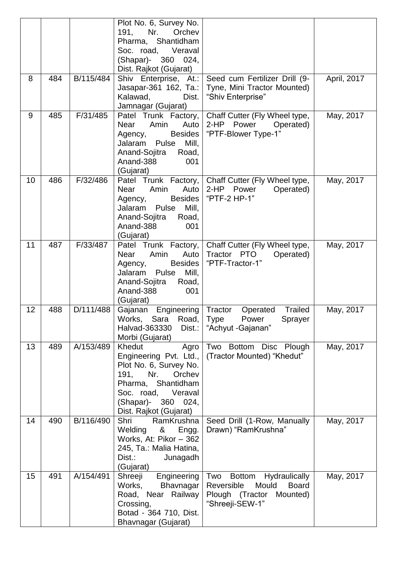|    |     |           | Plot No. 6, Survey No.<br>191,<br>Nr.<br>Orchev<br>Pharma, Shantidham<br>Soc. road,<br>Veraval<br>(Shapar)- 360 024,<br>Dist. Rajkot (Gujarat)                                          |                                                                                                                   |             |
|----|-----|-----------|-----------------------------------------------------------------------------------------------------------------------------------------------------------------------------------------|-------------------------------------------------------------------------------------------------------------------|-------------|
| 8  | 484 | B/115/484 | Shiv Enterprise, At.:<br>Jasapar-361 162, Ta.:<br>Kalawad,<br>Dist.<br>Jamnagar (Gujarat)                                                                                               | Seed cum Fertilizer Drill (9-<br>Tyne, Mini Tractor Mounted)<br>"Shiv Enterprise"                                 | April, 2017 |
| 9  | 485 | F/31/485  | Patel Trunk Factory,<br>Amin<br>Near<br>Auto<br><b>Besides</b><br>Agency,<br>Jalaram<br>Pulse<br>Mill,<br>Anand-Sojitra<br>Road,<br>Anand-388<br>001<br>(Gujarat)                       | Chaff Cutter (Fly Wheel type,<br>2-HP Power<br>Operated)<br>"PTF-Blower Type-1"                                   | May, 2017   |
| 10 | 486 | F/32/486  | Patel Trunk Factory,<br>Amin<br>Auto<br><b>Near</b><br><b>Besides</b><br>Agency,<br>Mill,<br>Jalaram<br>Pulse<br>Anand-Sojitra<br>Road,<br>Anand-388<br>001<br>(Gujarat)                | Chaff Cutter (Fly Wheel type,<br>2-HP Power<br>Operated)<br>"PTF-2 HP-1"                                          | May, 2017   |
| 11 | 487 | F/33/487  | Patel Trunk Factory,<br>Amin<br><b>Near</b><br>Auto<br><b>Besides</b><br>Agency,<br>Jalaram<br>Pulse<br>Mill,<br>Anand-Sojitra<br>Road,<br>Anand-388<br>001<br>(Gujarat)                | Chaff Cutter (Fly Wheel type,<br>Tractor PTO<br>Operated)<br>"PTF-Tractor-1"                                      | May, 2017   |
| 12 | 488 | D/111/488 | Gajanan<br>Engineering<br>Works, Sara<br>Road,<br>Halvad-363330<br>Dist.:<br>Morbi (Gujarat)                                                                                            | Tractor<br><b>Trailed</b><br>Operated<br>Type Power<br>Sprayer<br>"Achyut - Gajanan"                              | May, 2017   |
| 13 | 489 | A/153/489 | Khedut<br>Agro<br>Engineering Pvt. Ltd.,<br>Plot No. 6, Survey No.<br>Nr.<br>191,<br>Orchev<br>Pharma, Shantidham<br>Soc. road, Veraval<br>(Shapar)- 360 024,<br>Dist. Rajkot (Gujarat) | Two Bottom Disc Plough<br>(Tractor Mounted) "Khedut"                                                              | May, 2017   |
| 14 | 490 | B/116/490 | RamKrushna<br>Shri<br>Welding<br>&<br>Engg.<br>Works, At: Pikor - 362<br>245, Ta.: Malia Hatina,<br>Dist.:<br>Junagadh<br>(Gujarat)                                                     | Seed Drill (1-Row, Manually<br>Drawn) "RamKrushna"                                                                | May, 2017   |
| 15 | 491 | A/154/491 | Engineering<br>Shreeji<br>Works,<br>Bhavnagar<br>Road, Near Railway<br>Crossing,<br>Botad - 364 710, Dist.<br>Bhavnagar (Gujarat)                                                       | Two Bottom Hydraulically<br>Reversible<br>Mould<br><b>Board</b><br>Plough (Tractor<br>Mounted)<br>"Shreeji-SEW-1" | May, 2017   |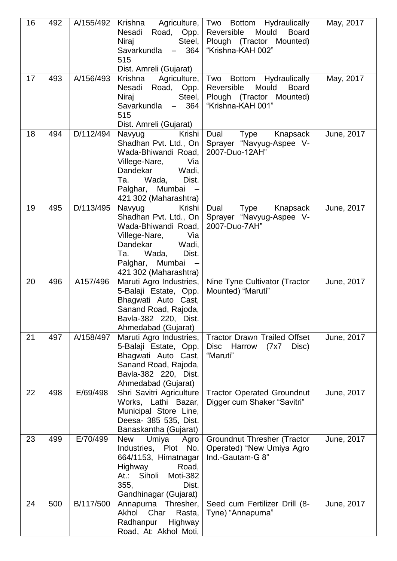| 16 | 492 | A/155/492 | Krishna<br>Agriculture,<br>Nesadi Road, Opp.<br>Steel,<br>Niraj<br>Savarkundla<br>364<br>$\frac{1}{2}$<br>515<br>Dist. Amreli (Gujarat)                                                                           | Two Bottom Hydraulically<br>Reversible<br>Mould<br><b>Board</b><br>Plough (Tractor Mounted)<br>"Krishna-KAH 002" | May, 2017  |
|----|-----|-----------|-------------------------------------------------------------------------------------------------------------------------------------------------------------------------------------------------------------------|------------------------------------------------------------------------------------------------------------------|------------|
| 17 | 493 | A/156/493 | Krishna<br>Agriculture,<br>Nesadi Road, Opp.<br>Steel,<br>Niraj<br>Savarkundla<br>364<br>$\frac{1}{2}$<br>515<br>Dist. Amreli (Gujarat)                                                                           | Two Bottom Hydraulically<br>Mould<br>Reversible<br><b>Board</b><br>Plough (Tractor Mounted)<br>"Krishna-KAH 001" | May, 2017  |
| 18 | 494 | D/112/494 | Navyug<br>Krishi<br>Shadhan Pvt. Ltd., On<br>Wada-Bhiwandi Road,<br>Villege-Nare,<br>Via<br>Dandekar<br>Wadi,<br>Dist.<br>Wada,<br>Ta.<br>Palghar, Mumbai<br>421 302 (Maharashtra)                                | Dual<br>Type<br>Knapsack<br>Sprayer "Navyug-Aspee V-<br>2007-Duo-12AH"                                           | June, 2017 |
| 19 | 495 | D/113/495 | Navyug<br>Krishi<br>Shadhan Pvt. Ltd., On<br>Wada-Bhiwandi Road,<br>Villege-Nare,<br>Via<br>Dandekar<br>Wadi,<br>Wada,<br>Dist.<br>Ta.<br>Palghar,<br>Mumbai<br>$\overline{\phantom{0}}$<br>421 302 (Maharashtra) | Type<br>Dual<br>Knapsack<br>Sprayer "Navyug-Aspee V-<br>2007-Duo-7AH"                                            | June, 2017 |
| 20 | 496 | A157/496  | Maruti Agro Industries,<br>5-Balaji Estate, Opp.<br>Bhagwati Auto Cast,<br>Sanand Road, Rajoda,<br>Bavla-382 220, Dist.<br>Ahmedabad (Gujarat)                                                                    | Nine Tyne Cultivator (Tractor<br>Mounted) "Maruti"                                                               | June, 2017 |
| 21 | 497 | A/158/497 | Maruti Agro Industries,<br>5-Balaji Estate, Opp.<br>Bhagwati Auto Cast,<br>Sanand Road, Rajoda,<br>Bavla-382 220, Dist.<br>Ahmedabad (Gujarat)                                                                    | <b>Tractor Drawn Trailed Offset</b><br>Disc Harrow<br>Disc)<br>(7x7)<br>"Maruti"                                 | June, 2017 |
| 22 | 498 | E/69/498  | Shri Savitri Agriculture<br>Works, Lathi Bazar,<br>Municipal Store Line,<br>Deesa- 385 535, Dist.<br>Banaskantha (Gujarat)                                                                                        | <b>Tractor Operated Groundnut</b><br>Digger cum Shaker "Savitri"                                                 | June, 2017 |
| 23 | 499 | E/70/499  | <b>New</b><br>Umiya<br>Agro<br>Industries, Plot<br>No.<br>664/1153, Himatnagar<br><b>Highway</b><br>Road,<br>Siholi<br>Moti-382<br>At.:<br>355,<br>Dist.<br>Gandhinagar (Gujarat)                                 | <b>Groundnut Thresher (Tractor</b><br>Operated) "New Umiya Agro<br>Ind.-Gautam-G 8"                              | June, 2017 |
| 24 | 500 | B/117/500 | Annapurna Thresher,<br>Char<br>Rasta,<br>Akhol<br>Radhanpur<br>Highway<br>Road, At: Akhol Moti,                                                                                                                   | Seed cum Fertilizer Drill (8-<br>Tyne) "Annapurna"                                                               | June, 2017 |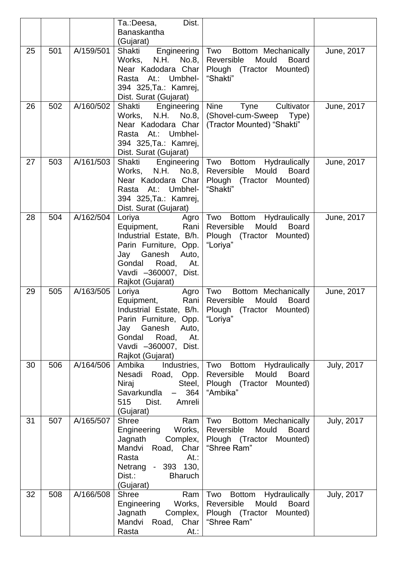|    |     |           | Dist.<br>Ta.:Deesa,                                                                                                                                                                      |                                                                                                                         |                   |
|----|-----|-----------|------------------------------------------------------------------------------------------------------------------------------------------------------------------------------------------|-------------------------------------------------------------------------------------------------------------------------|-------------------|
|    |     |           | Banaskantha                                                                                                                                                                              |                                                                                                                         |                   |
|    |     |           | (Gujarat)                                                                                                                                                                                |                                                                                                                         |                   |
| 25 | 501 | A/159/501 | Engineering<br>Shakti<br>N.H. No.8,<br>Works,<br>Near Kadodara Char<br>At.:<br>Umbhel-<br>Rasta<br>394 325, Ta.: Kamrej,<br>Dist. Surat (Gujarat)                                        | Two<br>Bottom Mechanically<br>Mould<br>Reversible<br><b>Board</b><br>Plough (Tractor Mounted)<br>"Shakti"               | June, 2017        |
| 26 | 502 | A/160/502 | Shakti<br>Engineering<br>N.H. No.8,<br>Works,<br>Near Kadodara Char<br>Umbhel-<br>At.:<br>Rasta<br>394 325, Ta.: Kamrej,<br>Dist. Surat (Gujarat)                                        | <b>Nine</b><br>Tyne<br>Cultivator<br>(Shovel-cum-Sweep<br>Type)<br>(Tractor Mounted) "Shakti"                           | June, 2017        |
| 27 | 503 | A/161/503 | Shakti<br>Engineering<br>N.H.<br>No.8,<br>Works,<br>Near Kadodara Char<br>Umbhel-<br>At.:<br>Rasta<br>394 325, Ta.: Kamrej,<br>Dist. Surat (Gujarat)                                     | Two<br>Bottom Hydraulically<br>Reversible<br>Mould<br><b>Board</b><br>Plough (Tractor Mounted)<br>"Shakti"              | June, 2017        |
| 28 | 504 | A/162/504 | Loriya<br>Agro<br>Equipment,<br>Rani<br>Industrial Estate, B/h.<br>Parin Furniture, Opp.<br>Jay<br>Ganesh<br>Auto,<br>Road,<br>Gondal<br>At.<br>Vavdi -360007, Dist.<br>Rajkot (Gujarat) | Two<br>Bottom Hydraulically<br>Mould<br>Reversible<br><b>Board</b><br>Plough (Tractor Mounted)<br>"Loriya"              | June, 2017        |
| 29 | 505 | A/163/505 | Loriya<br>Agro<br>Rani<br>Equipment,<br>Industrial Estate, B/h.<br>Parin Furniture, Opp.<br>Ganesh<br>Jay<br>Auto,<br>Gondal<br>Road,<br>At.<br>Vavdi -360007, Dist.<br>Rajkot (Gujarat) | Two<br>Bottom Mechanically<br>Mould<br>Reversible<br><b>Board</b><br>Plough (Tractor Mounted)<br>"Loriya"               | June, 2017        |
| 30 | 506 | A/164/506 | Ambika<br>Industries,<br>Nesadi<br>Road,<br>Opp.<br>Steel,<br>Niraj<br>364<br>Savarkundla<br>515<br>Dist.<br>Amreli<br>(Gujarat)                                                         | Two<br><b>Bottom</b><br>Hydraulically<br>Mould<br>Reversible<br><b>Board</b><br>Plough (Tractor Mounted)<br>"Ambika"    | <b>July, 2017</b> |
| 31 | 507 | A/165/507 | <b>Shree</b><br>Ram<br>Engineering<br>Works,<br>Jagnath<br>Complex,<br>Mandvi<br>Road, Char<br>Rasta<br>At.<br>Netrang<br>$-393$ 130,<br>Dist.:<br><b>Bharuch</b><br>(Gujarat)           | Bottom Mechanically<br>Two<br>Reversible<br>Mould<br><b>Board</b><br>Plough (Tractor Mounted)<br>"Shree Ram"            | <b>July, 2017</b> |
| 32 | 508 | A/166/508 | <b>Shree</b><br>Ram<br>Engineering<br>Works,<br>Jagnath<br>Complex,<br>Mandvi<br>Road,<br>Char<br>Rasta<br>At.:                                                                          | Two<br>Hydraulically<br><b>Bottom</b><br>Mould<br>Reversible<br><b>Board</b><br>Plough (Tractor Mounted)<br>"Shree Ram" | <b>July, 2017</b> |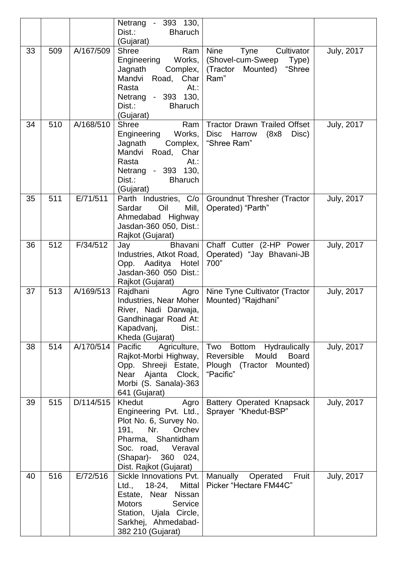|    |     |           | Netrang - 393 130,<br>Dist.:<br><b>Bharuch</b>                                                                                                                                             |                                                                                                               |                   |
|----|-----|-----------|--------------------------------------------------------------------------------------------------------------------------------------------------------------------------------------------|---------------------------------------------------------------------------------------------------------------|-------------------|
|    |     |           | (Gujarat)                                                                                                                                                                                  |                                                                                                               |                   |
| 33 | 509 | A/167/509 | <b>Shree</b><br>Ram<br>Engineering Works,<br>Jagnath<br>Complex,<br>Mandvi<br>Road, Char<br>Rasta<br>At.<br>Netrang - 393 130,<br>Dist.:<br><b>Bharuch</b><br>(Gujarat)                    | <b>Nine</b><br><b>Tyne</b><br>Cultivator<br>(Shovel-cum-Sweep<br>Type)<br>(Tractor Mounted)<br>"Shree<br>Ram" | <b>July, 2017</b> |
| 34 | 510 | A/168/510 | <b>Shree</b><br>Ram<br>Engineering Works,<br>Jagnath<br>Complex,<br>Mandvi Road, Char<br>Rasta<br>At.:<br>Netrang - 393 130,<br>Dist.:<br><b>Bharuch</b><br>(Gujarat)                      | <b>Tractor Drawn Trailed Offset</b><br><b>Disc</b><br>Harrow<br>(8x8)<br>Disc)<br>"Shree Ram"                 | <b>July, 2017</b> |
| 35 | 511 | E/71/511  | Parth Industries, C/o<br>Mill,<br>Oil<br>Sardar<br>Ahmedabad Highway<br>Jasdan-360 050, Dist.:<br>Rajkot (Gujarat)                                                                         | <b>Groundnut Thresher (Tractor</b><br>Operated) "Parth"                                                       | <b>July, 2017</b> |
| 36 | 512 | F/34/512  | Jay<br><b>Bhavani</b><br>Industries, Atkot Road,<br>Opp. Aaditya Hotel<br>Jasdan-360 050 Dist.:<br>Rajkot (Gujarat)                                                                        | Chaff Cutter (2-HP Power<br>Operated) "Jay Bhavani-JB<br>700"                                                 | July, 2017        |
| 37 | 513 | A/169/513 | Rajdhani<br>Agro<br>Industries, Near Moher<br>River, Nadi Darwaja,<br>Gandhinagar Road At:<br>Kapadvanj,<br>Dist.:<br>Kheda (Gujarat)                                                      | Nine Tyne Cultivator (Tractor<br>Mounted) "Rajdhani"                                                          | <b>July, 2017</b> |
| 38 | 514 | A/170/514 | Agriculture,<br>Pacific<br>Rajkot-Morbi Highway,<br>Opp. Shreeji Estate,<br>Ajanta<br>Near<br>Clock,<br>Morbi (S. Sanala)-363<br>641 (Gujarat)                                             | Bottom Hydraulically<br>Two<br>Reversible<br>Mould<br><b>Board</b><br>Plough (Tractor Mounted)<br>"Pacific"   | <b>July, 2017</b> |
| 39 | 515 | D/114/515 | Khedut<br>Agro<br>Engineering Pvt. Ltd.,<br>Plot No. 6, Survey No.<br>Nr.<br>191,<br>Orchev<br>Pharma, Shantidham<br>Soc. road, Veraval<br>(Shapar)-<br>360 024,<br>Dist. Rajkot (Gujarat) | Battery Operated Knapsack<br>Sprayer "Khedut-BSP"                                                             | <b>July, 2017</b> |
| 40 | 516 | E/72/516  | Sickle Innovations Pvt.<br>Ltd.,<br>18-24,<br>Mittal<br>Estate, Near Nissan<br><b>Motors</b><br>Service<br>Station, Ujala Circle,<br>Sarkhej, Ahmedabad-<br>382 210 (Gujarat)              | Manually<br>Operated<br>Fruit<br>Picker "Hectare FM44C"                                                       | <b>July, 2017</b> |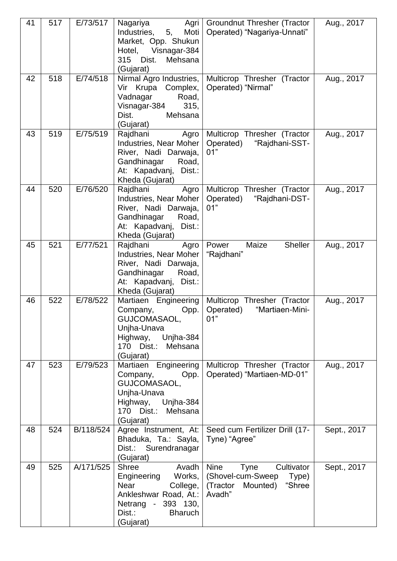| 41 | 517 | E/73/517  | Nagariya<br>Agri<br>Moti<br>Industries,<br>5,<br>Market, Opp. Shukun<br>Hotel,<br>Visnagar-384<br>315<br>Dist.<br>Mehsana<br>(Gujarat)                     | <b>Groundnut Thresher (Tractor</b><br>Operated) "Nagariya-Unnati"                                                  | Aug., 2017  |
|----|-----|-----------|------------------------------------------------------------------------------------------------------------------------------------------------------------|--------------------------------------------------------------------------------------------------------------------|-------------|
| 42 | 518 | E/74/518  | Nirmal Agro Industries,<br>Vir Krupa Complex,<br>Road,<br>Vadnagar<br>Visnagar-384<br>315,<br>Dist.<br>Mehsana<br>(Gujarat)                                | Multicrop Thresher (Tractor<br>Operated) "Nirmal"                                                                  | Aug., 2017  |
| 43 | 519 | E/75/519  | Rajdhani<br>Agro<br>Industries, Near Moher<br>River, Nadi Darwaja,<br>Gandhinagar<br>Road,<br>At: Kapadvanj,<br>Dist.:<br>Kheda (Gujarat)                  | Multicrop Thresher (Tractor<br>Operated)<br>"Rajdhani-SST-<br>01"                                                  | Aug., 2017  |
| 44 | 520 | E/76/520  | Rajdhani<br>Agro<br>Industries, Near Moher<br>River, Nadi Darwaja,<br>Gandhinagar<br>Road,<br>At: Kapadvanj,<br>Dist.:<br>Kheda (Gujarat)                  | Multicrop Thresher (Tractor<br>Operated)<br>"Rajdhani-DST-<br>01"                                                  | Aug., 2017  |
| 45 | 521 | E/77/521  | Rajdhani<br>Agro<br>Industries, Near Moher<br>River, Nadi Darwaja,<br>Gandhinagar<br>Road,<br>At: Kapadvanj,<br>Dist.:<br>Kheda (Gujarat)                  | <b>Sheller</b><br>Maize<br>Power<br>"Rajdhani"                                                                     | Aug., 2017  |
| 46 | 522 | E/78/522  | Martiaen Engineering<br>Company,<br>Opp.<br>GUJCOMASAOL,<br>Unjha-Unava<br>Unjha-384<br>Highway,<br>170 Dist.:<br>Mehsana<br>(Gujarat)                     | Multicrop Thresher (Tractor<br>Operated)<br>"Martiaen-Mini-<br>01"                                                 | Aug., 2017  |
| 47 | 523 | E/79/523  | Martiaen Engineering<br>Company,<br>Opp.<br>GUJCOMASAOL,<br>Unjha-Unava<br>Unjha-384<br>Highway,<br>170 Dist.:<br>Mehsana<br>(Gujarat)                     | Multicrop Thresher (Tractor<br>Operated) "Martiaen-MD-01"                                                          | Aug., 2017  |
| 48 | 524 | B/118/524 | Agree Instrument, At:<br>Bhaduka, Ta.: Sayla,<br>Dist.: Surendranagar<br>(Gujarat)                                                                         | Seed cum Fertilizer Drill (17-<br>Tyne) "Agree"                                                                    | Sept., 2017 |
| 49 | 525 | A/171/525 | <b>Shree</b><br>Avadh<br>Engineering<br>Works,<br>Near<br>College,<br>Ankleshwar Road, At.:<br>Netrang - 393 130,<br>Dist.:<br><b>Bharuch</b><br>(Gujarat) | <b>Nine</b><br><b>Tyne</b><br>Cultivator<br>(Shovel-cum-Sweep<br>Type)<br>"Shree<br>(Tractor<br>Mounted)<br>Avadh" | Sept., 2017 |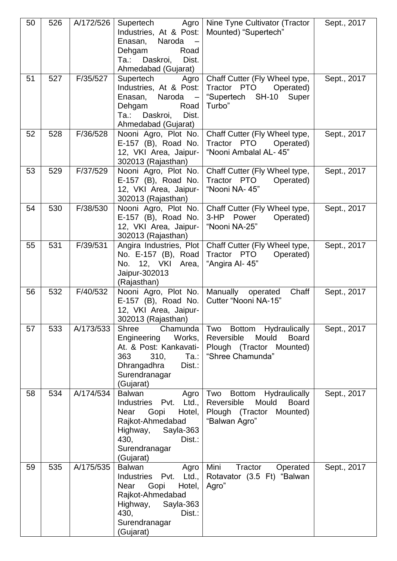| 50 | 526 | A/172/526 | Agro<br>Supertech<br>Industries, At & Post:<br>Naroda -<br>Enasan,<br>Dehgam<br>Road<br>Daskroi,<br>Ta.:<br>Dist.<br>Ahmedabad (Gujarat)                                  | Nine Tyne Cultivator (Tractor<br>Mounted) "Supertech"                                                                     | Sept., 2017 |
|----|-----|-----------|---------------------------------------------------------------------------------------------------------------------------------------------------------------------------|---------------------------------------------------------------------------------------------------------------------------|-------------|
| 51 | 527 | F/35/527  | Supertech<br>Agro<br>Industries, At & Post:<br>Enasan, Naroda -<br>Dehgam<br>Road<br>Daskroi,<br>Ta.:<br>Dist.<br>Ahmedabad (Gujarat)                                     | Chaff Cutter (Fly Wheel type,<br>Tractor PTO<br>Operated)<br>"Supertech SH-10 Super<br>Turbo"                             | Sept., 2017 |
| 52 | 528 | F/36/528  | Nooni Agro, Plot No.<br>E-157 (B), Road No.<br>12, VKI Area, Jaipur-<br>302013 (Rajasthan)                                                                                | Chaff Cutter (Fly Wheel type,<br>Tractor PTO<br>Operated)<br>"Nooni Ambalal AL- 45"                                       | Sept., 2017 |
| 53 | 529 | F/37/529  | Nooni Agro, Plot No.<br>E-157 (B), Road No.<br>12, VKI Area, Jaipur-<br>302013 (Rajasthan)                                                                                | Chaff Cutter (Fly Wheel type,<br>Tractor PTO<br>Operated)<br>"Nooni NA-45"                                                | Sept., 2017 |
| 54 | 530 | F/38/530  | Nooni Agro, Plot No.<br>E-157 (B), Road No.<br>12, VKI Area, Jaipur-<br>302013 (Rajasthan)                                                                                | Chaff Cutter (Fly Wheel type,<br>3-HP Power<br>Operated)<br>"Nooni NA-25"                                                 | Sept., 2017 |
| 55 | 531 | F/39/531  | Angira Industries, Plot<br>No. E-157 (B), Road<br>No. 12, VKI Area,<br>Jaipur-302013<br>(Rajasthan)                                                                       | Chaff Cutter (Fly Wheel type,<br>Tractor PTO<br>Operated)<br>"Angira Al- 45"                                              | Sept., 2017 |
| 56 | 532 | F/40/532  | Nooni Agro, Plot No.<br>E-157 (B), Road No.<br>12, VKI Area, Jaipur-<br>302013 (Rajasthan)                                                                                | Manually<br>Chaff<br>operated<br>Cutter "Nooni NA-15"                                                                     | Sept., 2017 |
| 57 | 533 | A/173/533 | <b>Shree</b><br>Chamunda<br>Works,<br>Engineering<br>At. & Post: Kankavati-<br>363<br>310,<br>Ta.:<br>Dhrangadhra<br>Dist.:<br>Surendranagar<br>(Gujarat)                 | Two<br>Bottom Hydraulically<br>Reversible<br>Mould<br><b>Board</b><br>Plough (Tractor Mounted)<br>"Shree Chamunda"        | Sept., 2017 |
| 58 | 534 | A/174/534 | <b>Balwan</b><br>Agro<br>Ltd.,<br>Industries Pvt.<br>Gopi<br>Hotel,<br>Near<br>Rajkot-Ahmedabad<br>Sayla-363<br>Highway,<br>430,<br>Dist.:<br>Surendranagar<br>(Gujarat)  | Two<br><b>Bottom</b><br>Hydraulically<br>Reversible<br>Mould<br><b>Board</b><br>Plough (Tractor Mounted)<br>"Balwan Agro" | Sept., 2017 |
| 59 | 535 | A/175/535 | <b>Balwan</b><br>Agro<br>Industries Pvt. Ltd.,<br>Gopi<br>Hotel,<br><b>Near</b><br>Rajkot-Ahmedabad<br>Highway, Sayla-363<br>430,<br>Dist.:<br>Surendranagar<br>(Gujarat) | Mini<br>Tractor<br>Operated<br>Rotavator (3.5 Ft) "Balwan<br>Agro"                                                        | Sept., 2017 |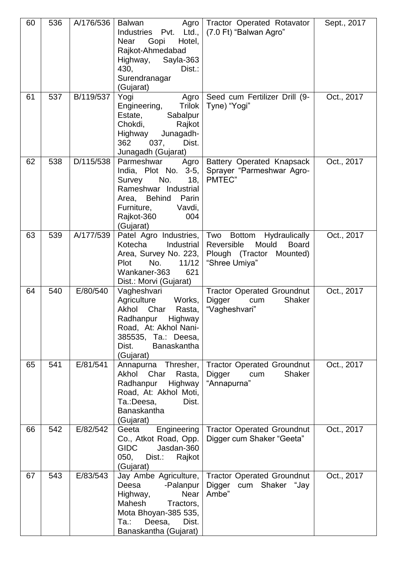| 60 | 536 | A/176/536 | <b>Balwan</b><br>Agro<br>Ltd.,<br>Industries Pvt.<br>Hotel,<br>Gopi<br>Near<br>Rajkot-Ahmedabad<br>Highway,<br>Sayla-363<br>430,<br>Dist.:<br>Surendranagar<br>(Gujarat)           | Tractor Operated Rotavator<br>(7.0 Ft) "Balwan Agro"                                                                                | Sept., 2017 |
|----|-----|-----------|------------------------------------------------------------------------------------------------------------------------------------------------------------------------------------|-------------------------------------------------------------------------------------------------------------------------------------|-------------|
| 61 | 537 | B/119/537 | Yogi<br>Agro<br><b>Trilok</b><br>Engineering,<br>Sabalpur<br>Estate,<br>Chokdi,<br>Rajkot<br>Junagadh-<br>Highway<br>362<br>037,<br>Dist.<br>Junagadh (Gujarat)                    | Seed cum Fertilizer Drill (9-<br>Tyne) "Yogi"                                                                                       | Oct., 2017  |
| 62 | 538 | D/115/538 | Parmeshwar<br>Agro<br>$3-5,$<br>India, Plot No.<br>No.<br>Survey<br>18,<br>Rameshwar Industrial<br>Area, Behind<br>Parin<br>Furniture,<br>Vavdi,<br>Rajkot-360<br>004<br>(Gujarat) | Battery Operated Knapsack<br>Sprayer "Parmeshwar Agro-<br>PMTEC"                                                                    | Oct., 2017  |
| 63 | 539 | A/177/539 | Patel Agro Industries,<br>Kotecha<br>Industrial<br>Area, Survey No. 223,<br>Plot<br>No.<br>11/12<br>Wankaner-363<br>621<br>Dist.: Morvi (Gujarat)                                  | Two<br><b>Hydraulically</b><br><b>Bottom</b><br>Reversible<br>Mould<br><b>Board</b><br>Plough (Tractor<br>Mounted)<br>"Shree Umiya" | Oct., 2017  |
| 64 | 540 | E/80/540  | Vagheshvari<br>Agriculture<br>Works,<br>Akhol Char<br>Rasta,<br>Radhanpur Highway<br>Road, At: Akhol Nani-<br>385535, Ta.: Deesa,<br>Dist.<br><b>Banaskantha</b><br>(Gujarat)      | <b>Tractor Operated Groundnut</b><br>Digger<br><b>Shaker</b><br>cum<br>"Vagheshvari"                                                | Oct., 2017  |
| 65 | 541 | E/81/541  | Annapurna Thresher,<br>Akhol<br>Char<br>Rasta,<br>Radhanpur<br>Highway<br>Road, At: Akhol Moti,<br>Ta.:Deesa,<br>Dist.<br><b>Banaskantha</b><br>(Gujarat)                          | <b>Tractor Operated Groundnut</b><br><b>Shaker</b><br>Digger<br>cum<br>"Annapurna"                                                  | Oct., 2017  |
| 66 | 542 | E/82/542  | Engineering<br>Geeta<br>Co., Atkot Road, Opp.<br><b>GIDC</b><br>Jasdan-360<br>050,<br>Dist.:<br>Rajkot<br>(Gujarat)                                                                | <b>Tractor Operated Groundnut</b><br>Digger cum Shaker "Geeta"                                                                      | Oct., 2017  |
| 67 | 543 | E/83/543  | Jay Ambe Agriculture,<br>Deesa<br>-Palanpur<br><b>Near</b><br>Highway,<br>Mahesh<br>Tractors,<br>Mota Bhoyan-385 535,<br>Ta.:<br>Deesa,<br>Dist.<br>Banaskantha (Gujarat)          | <b>Tractor Operated Groundnut</b><br>Digger<br>cum Shaker "Jay<br>Ambe"                                                             | Oct., 2017  |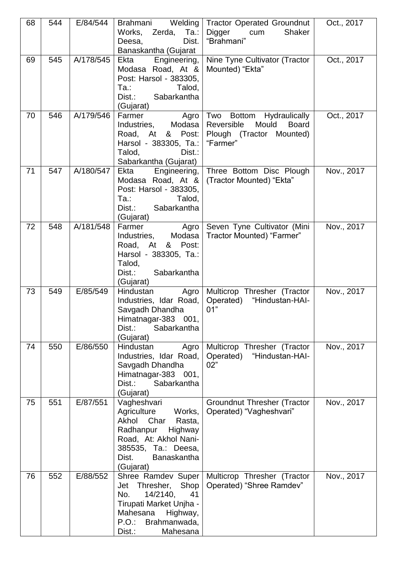| 68 | 544 | E/84/544  | Welding<br>Brahmani<br>Works, Zerda,<br>Ta.:<br>Dist.<br>Deesa,<br>Banaskantha (Gujarat                                                                                          | <b>Tractor Operated Groundnut</b><br>Digger<br>Shaker<br>cum<br>"Brahmani"                                              | Oct., 2017 |
|----|-----|-----------|----------------------------------------------------------------------------------------------------------------------------------------------------------------------------------|-------------------------------------------------------------------------------------------------------------------------|------------|
| 69 | 545 | A/178/545 | Ekta<br>Engineering,<br>Modasa Road, At &<br>Post: Harsol - 383305,<br>Та.:<br>Talod,<br>Dist.:<br>Sabarkantha<br>(Gujarat)                                                      | Nine Tyne Cultivator (Tractor<br>Mounted) "Ekta"                                                                        | Oct., 2017 |
| 70 | 546 | A/179/546 | Farmer<br>Agro<br>Industries, Modasa<br>Road, At & Post:<br>Harsol - 383305, Ta.:<br>Talod,<br>Dist.:<br>Sabarkantha (Gujarat)                                                   | Two<br><b>Bottom</b><br>Hydraulically<br>Reversible<br>Mould<br><b>Board</b><br>Plough (Tractor<br>Mounted)<br>"Farmer" | Oct., 2017 |
| 71 | 547 | A/180/547 | Ekta<br>Engineering,<br>Modasa Road, At &<br>Post: Harsol - 383305,<br>Ta.:<br>Talod,<br>Dist.:<br>Sabarkantha<br>(Gujarat)                                                      | Three Bottom Disc Plough<br>(Tractor Mounted) "Ekta"                                                                    | Nov., 2017 |
| 72 | 548 | A/181/548 | Farmer<br>Agro<br>Modasa<br>Industries,<br>& Post:<br>Road, At<br>Harsol - 383305, Ta.:<br>Talod,<br>Dist.:<br>Sabarkantha<br>(Gujarat)                                          | Seven Tyne Cultivator (Mini<br>Tractor Mounted) "Farmer"                                                                | Nov., 2017 |
| 73 | 549 | E/85/549  | Hindustan<br>Agro<br>Industries, Idar Road,<br>Savgadh Dhandha<br>Himatnagar-383 001,<br>Dist.:<br>Sabarkantha<br>(Gujarat)                                                      | Multicrop Thresher (Tractor<br>Operated) "Hindustan-HAI-<br>01"                                                         | Nov., 2017 |
| 74 | 550 | E/86/550  | Hindustan<br>Agro<br>Industries, Idar Road,<br>Savgadh Dhandha<br>Himatnagar-383 001,<br>Dist.:<br>Sabarkantha<br>(Gujarat)                                                      | Multicrop Thresher (Tractor<br>Operated)<br>"Hindustan-HAI-<br>02"                                                      | Nov., 2017 |
| 75 | 551 | E/87/551  | Vagheshvari<br>Agriculture<br>Works,<br>Akhol Char<br>Rasta,<br>Radhanpur<br>Highway<br>Road, At: Akhol Nani-<br>385535, Ta.: Deesa,<br>Dist.<br><b>Banaskantha</b><br>(Gujarat) | <b>Groundnut Thresher (Tractor</b><br>Operated) "Vagheshvari"                                                           | Nov., 2017 |
| 76 | 552 | E/88/552  | Shree Ramdev Super<br>Shop<br>Jet<br>Thresher,<br>No.<br>14/2140,<br>41<br>Tirupati Market Unjha -<br>Mahesana<br>Highway,<br>P.O.<br>Brahmanwada,<br>Dist.:<br>Mahesana         | Multicrop Thresher (Tractor<br>Operated) "Shree Ramdev"                                                                 | Nov., 2017 |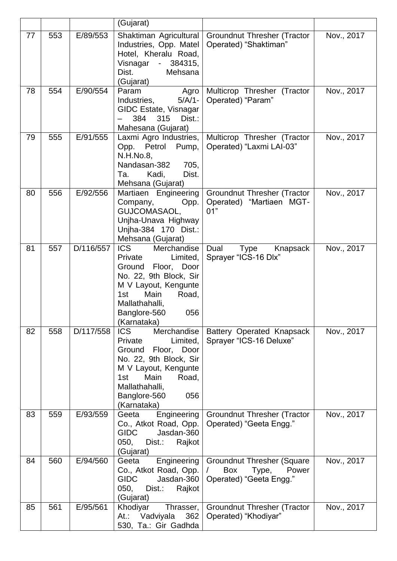|    |     |           | (Gujarat)                                                                                                                                                                                                   |                                                                                                   |            |
|----|-----|-----------|-------------------------------------------------------------------------------------------------------------------------------------------------------------------------------------------------------------|---------------------------------------------------------------------------------------------------|------------|
| 77 | 553 | E/89/553  | Shaktiman Agricultural<br>Industries, Opp. Matel<br>Hotel, Kheralu Road,<br>Visnagar - 384315,<br>Dist.<br>Mehsana<br>(Gujarat)                                                                             | <b>Groundnut Thresher (Tractor</b><br>Operated) "Shaktiman"                                       | Nov., 2017 |
| 78 | 554 | E/90/554  | Agro<br>Param<br>$5/A/1 -$<br>Industries,<br>GIDC Estate, Visnagar<br>315<br>384<br>Dist.:<br>Mahesana (Gujarat)                                                                                            | Multicrop Thresher (Tractor<br>Operated) "Param"                                                  | Nov., 2017 |
| 79 | 555 | E/91/555  | Laxmi Agro Industries,<br>Opp. Petrol<br>Pump,<br>N.H.No.8,<br>705,<br>Nandasan-382<br>Dist.<br>Kadi,<br>Ta.<br>Mehsana (Gujarat)                                                                           | Multicrop Thresher (Tractor<br>Operated) "Laxmi LAI-03"                                           | Nov., 2017 |
| 80 | 556 | E/92/556  | Martiaen Engineering<br>Company,<br>Opp.<br>GUJCOMASAOL,<br>Unjha-Unava Highway<br>Unjha-384 170 Dist.:<br>Mehsana (Gujarat)                                                                                | Groundnut Thresher (Tractor<br>Operated) "Martiaen MGT-<br>01"                                    | Nov., 2017 |
| 81 | 557 | D/116/557 | <b>ICS</b><br>Merchandise<br>Private<br>Limited,<br>Ground Floor, Door<br>No. 22, 9th Block, Sir<br>M V Layout, Kengunte<br>Main<br>Road,<br>1st<br>Mallathahalli,<br>056<br>Banglore-560<br>(Karnataka)    | Dual<br>Type<br>Knapsack<br>Sprayer "ICS-16 Dlx"                                                  | Nov., 2017 |
| 82 | 558 | D/117/558 | <b>ICS</b><br>Merchandise<br>Private<br>Limited,<br>Ground<br>Floor, Door<br>No. 22, 9th Block, Sir<br>M V Layout, Kengunte<br>Main<br>Road,<br>1st<br>Mallathahalli,<br>056<br>Banglore-560<br>(Karnataka) | <b>Battery Operated Knapsack</b><br>Sprayer "ICS-16 Deluxe"                                       | Nov., 2017 |
| 83 | 559 | E/93/559  | Engineering<br>Geeta<br>Co., Atkot Road, Opp.<br><b>GIDC</b><br>Jasdan-360<br>050,<br>Dist.:<br>Rajkot<br>(Gujarat)                                                                                         | <b>Groundnut Thresher (Tractor</b><br>Operated) "Geeta Engg."                                     | Nov., 2017 |
| 84 | 560 | E/94/560  | Engineering<br>Geeta<br>Co., Atkot Road, Opp.<br><b>GIDC</b><br>Jasdan-360<br>050,<br>Dist.:<br>Rajkot<br>(Gujarat)                                                                                         | <b>Groundnut Thresher (Square</b><br><b>Box</b><br>T<br>Type,<br>Power<br>Operated) "Geeta Engg." | Nov., 2017 |
| 85 | 561 | E/95/561  | Khodiyar<br>Thrasser,<br>362<br>Vadviyala<br>At.:<br>530, Ta.: Gir Gadhda                                                                                                                                   | <b>Groundnut Thresher (Tractor</b><br>Operated) "Khodiyar"                                        | Nov., 2017 |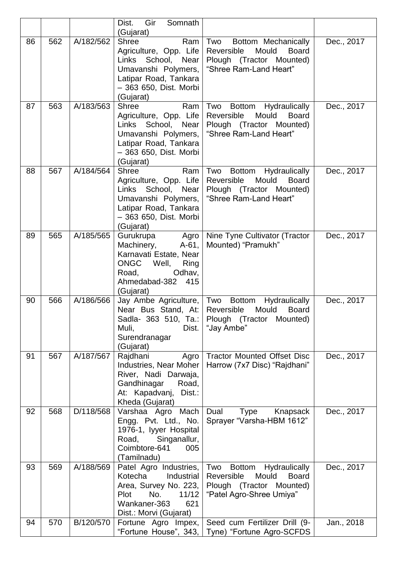|    |     |           | Gir<br>Somnath<br>Dist.<br>(Gujarat)                                                                                                                          |                                                                                                                                    |            |
|----|-----|-----------|---------------------------------------------------------------------------------------------------------------------------------------------------------------|------------------------------------------------------------------------------------------------------------------------------------|------------|
| 86 | 562 | A/182/562 | <b>Shree</b><br>Ram<br>Agriculture, Opp. Life<br>Links<br>School, Near<br>Umavanshi Polymers,<br>Latipar Road, Tankara<br>- 363 650, Dist. Morbi<br>(Gujarat) | Two<br>Bottom Mechanically<br>Reversible<br>Mould<br><b>Board</b><br>Plough (Tractor Mounted)<br>"Shree Ram-Land Heart"            | Dec., 2017 |
| 87 | 563 | A/183/563 | <b>Shree</b><br>Ram<br>Agriculture, Opp. Life<br>Links School,<br>Near<br>Umavanshi Polymers,<br>Latipar Road, Tankara<br>- 363 650, Dist. Morbi<br>(Gujarat) | Two<br>Hydraulically<br>Bottom<br>Mould<br>Reversible<br><b>Board</b><br>Plough (Tractor Mounted)<br>"Shree Ram-Land Heart"        | Dec., 2017 |
| 88 | 567 | A/184/564 | <b>Shree</b><br>Ram<br>Agriculture, Opp. Life<br>Links School,<br>Near<br>Umavanshi Polymers,<br>Latipar Road, Tankara<br>- 363 650, Dist. Morbi<br>(Gujarat) | Two<br>Hydraulically<br><b>Bottom</b><br>Mould<br><b>Board</b><br>Reversible<br>Plough (Tractor Mounted)<br>"Shree Ram-Land Heart" | Dec., 2017 |
| 89 | 565 | A/185/565 | Gurukrupa<br>Agro<br>$A-61,$<br>Machinery,<br>Karnavati Estate, Near<br><b>ONGC</b><br>Well,<br>Ring<br>Odhav,<br>Road,<br>Ahmedabad-382<br>415<br>(Gujarat)  | Nine Tyne Cultivator (Tractor<br>Mounted) "Pramukh"                                                                                | Dec., 2017 |
| 90 | 566 | A/186/566 | Jay Ambe Agriculture,<br>Near Bus Stand, At:<br>Sadla- 363 510, Ta.:<br>Muli,<br>Dist.<br>Surendranagar<br>(Gujarat)                                          | Two<br><b>Bottom</b><br>Hydraulically<br>Reversible<br>Mould<br><b>Board</b><br>Plough (Tractor<br>Mounted)<br>"Jay Ambe"          | Dec., 2017 |
| 91 | 567 | A/187/567 | Rajdhani<br>Agro<br>Industries, Near Moher<br>River, Nadi Darwaja,<br>Gandhinagar<br>Road,<br>At: Kapadvanj,<br>Dist.:<br>Kheda (Gujarat)                     | <b>Tractor Mounted Offset Disc</b><br>Harrow (7x7 Disc) "Rajdhani"                                                                 | Dec., 2017 |
| 92 | 568 | D/118/568 | Varshaa Agro Mach<br>Engg. Pvt. Ltd., No.<br>1976-1, lyyer Hospital<br>Singanallur,<br>Road,<br>Coimbtore-641<br>005<br>(Tamilnadu)                           | Knapsack<br>Dual<br>Type<br>Sprayer "Varsha-HBM 1612"                                                                              | Dec., 2017 |
| 93 | 569 | A/188/569 | Patel Agro Industries,<br>Kotecha<br>Industrial<br>Area, Survey No. 223,<br><b>Plot</b><br>No.<br>11/12<br>Wankaner-363<br>621<br>Dist.: Morvi (Gujarat)      | Bottom Hydraulically<br>Two<br>Reversible<br>Mould<br><b>Board</b><br>Plough (Tractor Mounted)<br>"Patel Agro-Shree Umiya"         | Dec., 2017 |
| 94 | 570 | B/120/570 | Fortune Agro Impex,                                                                                                                                           | Seed cum Fertilizer Drill (9-<br>"Fortune House", 343, Tyne) "Fortune Agro-SCFDS                                                   | Jan., 2018 |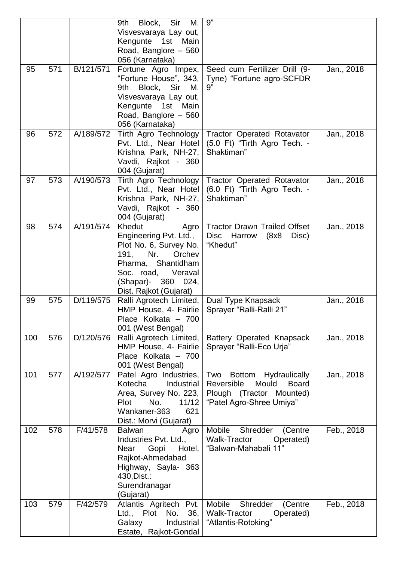|     |     |           | Sir<br>9th<br>Block,<br>М.<br>Visvesvaraya Lay out,<br>Kengunte<br>1st<br>Main<br>Road, Banglore - 560<br>056 (Karnataka)                                                                  | 9"                                                                                                                                   |            |
|-----|-----|-----------|--------------------------------------------------------------------------------------------------------------------------------------------------------------------------------------------|--------------------------------------------------------------------------------------------------------------------------------------|------------|
| 95  | 571 | B/121/571 | Fortune Agro Impex,<br>"Fortune House", 343,<br>Block, Sir<br>M.<br>9th<br>Visvesvaraya Lay out,<br>Kengunte<br>1st<br>Main<br>Road, Banglore - 560<br>056 (Karnataka)                     | Seed cum Fertilizer Drill (9-<br>Tyne) "Fortune agro-SCFDR<br>9"                                                                     | Jan., 2018 |
| 96  | 572 | A/189/572 | Tirth Agro Technology<br>Pvt. Ltd., Near Hotel<br>Krishna Park, NH-27,<br>Vavdi, Rajkot - 360<br>004 (Gujarat)                                                                             | <b>Tractor Operated Rotavator</b><br>(5.0 Ft) "Tirth Agro Tech. -<br>Shaktiman"                                                      | Jan., 2018 |
| 97  | 573 | A/190/573 | <b>Tirth Agro Technology</b><br>Pvt. Ltd., Near Hotel<br>Krishna Park, NH-27,<br>Vavdi, Rajkot - 360<br>004 (Gujarat)                                                                      | <b>Tractor Operated Rotavator</b><br>(6.0 Ft) "Tirth Agro Tech. -<br>Shaktiman"                                                      | Jan., 2018 |
| 98  | 574 | A/191/574 | Khedut<br>Agro<br>Engineering Pvt. Ltd.,<br>Plot No. 6, Survey No.<br>191,<br>Nr.<br>Orchev<br>Pharma, Shantidham<br>Veraval<br>Soc. road,<br>(Shapar)- 360 024,<br>Dist. Rajkot (Gujarat) | <b>Tractor Drawn Trailed Offset</b><br>Disc Harrow<br>(8x8)<br>Disc)<br>"Khedut"                                                     | Jan., 2018 |
| 99  | 575 | D/119/575 | Ralli Agrotech Limited,<br>HMP House, 4- Fairlie<br>Place Kolkata - 700<br>001 (West Bengal)                                                                                               | Dual Type Knapsack<br>Sprayer "Ralli-Ralli 21"                                                                                       | Jan., 2018 |
| 100 | 576 | D/120/576 | Ralli Agrotech Limited,<br>HMP House, 4- Fairlie<br>Place Kolkata - 700<br>001 (West Bengal)                                                                                               | Battery Operated Knapsack<br>Sprayer "Ralli-Eco Urja"                                                                                | Jan., 2018 |
| 101 | 577 | A/192/577 | Patel Agro Industries,<br>Kotecha<br>Industrial<br>Area, Survey No. 223,<br><b>Plot</b><br>No.<br>11/12<br>Wankaner-363<br>621<br>Dist.: Morvi (Gujarat)                                   | <b>Bottom</b><br>Hydraulically<br>Two<br>Mould<br>Reversible<br><b>Board</b><br>Plough (Tractor Mounted)<br>"Patel Agro-Shree Umiya" | Jan., 2018 |
| 102 | 578 | F/41/578  | <b>Balwan</b><br>Agro<br>Industries Pvt. Ltd.,<br>Gopi<br>Hotel,<br>Near<br>Rajkot-Ahmedabad<br>Highway, Sayla- 363<br>430, Dist.:<br>Surendranagar<br>(Gujarat)                           | Mobile<br>Shredder<br>(Centre<br>Walk-Tractor<br>Operated)<br>"Balwan-Mahabali 11"                                                   | Feb., 2018 |
| 103 | 579 | F/42/579  | Atlantis Agritech Pvt.<br>Ltd., Plot<br>36,<br>No.<br>Galaxy<br>Industrial<br>Estate, Rajkot-Gondal                                                                                        | Mobile<br>Shredder<br>(Centre<br>Walk-Tractor<br>Operated)<br>"Atlantis-Rotoking"                                                    | Feb., 2018 |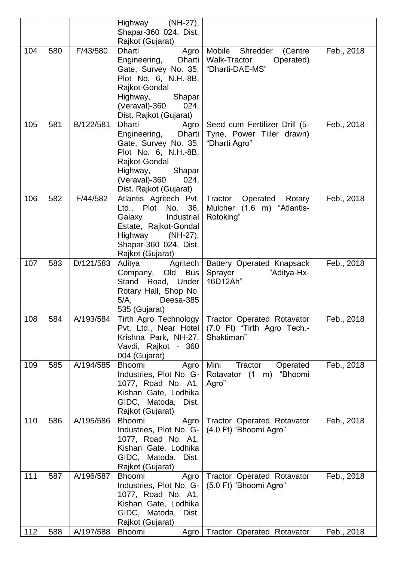|     |     |           | Highway (NH-27),<br>Shapar-360 024, Dist.                                                                                                                                                 |                                                                                      |            |
|-----|-----|-----------|-------------------------------------------------------------------------------------------------------------------------------------------------------------------------------------------|--------------------------------------------------------------------------------------|------------|
|     |     |           | Rajkot (Gujarat)                                                                                                                                                                          |                                                                                      |            |
| 104 | 580 | F/43/580  | Dharti<br>Agro<br>Dharti<br>Engineering,<br>Gate, Survey No. 35,<br>Plot No. 6, N.H.-8B,<br>Rajkot-Gondal<br>Highway,<br>Shapar                                                           | Mobile<br>Shredder<br>(Centre<br><b>Walk-Tractor</b><br>Operated)<br>"Dharti-DAE-MS" | Feb., 2018 |
|     |     |           | (Veraval)-360<br>024,<br>Dist. Rajkot (Gujarat)                                                                                                                                           |                                                                                      |            |
| 105 | 581 | B/122/581 | <b>Dharti</b><br>Agro<br>Dharti<br>Engineering,<br>Gate, Survey No. 35,<br>Plot No. 6, N.H.-8B,<br>Rajkot-Gondal<br>Highway,<br>Shapar<br>(Veraval)-360<br>024,<br>Dist. Rajkot (Gujarat) | Seed cum Fertilizer Drill (5-<br>Tyne, Power Tiller drawn)<br>"Dharti Agro"          | Feb., 2018 |
| 106 | 582 | F/44/582  | Atlantis Agritech Pvt.<br>Ltd., Plot No.<br>36,<br>Galaxy<br>Industrial<br>Estate, Rajkot-Gondal<br>Highway (NH-27),<br>Shapar-360 024, Dist.<br>Rajkot (Gujarat)                         | Tractor<br>Operated<br>Rotary<br>Mulcher (1.6 m) "Atlantis-<br>Rotoking"             | Feb., 2018 |
| 107 | 583 | D/121/583 | Agritech<br>Aditya<br><b>Bus</b><br>Company,<br>Old<br>Stand<br>Road, Under<br>Rotary Hall, Shop No.<br>$5/A$ ,<br>Deesa-385<br>535 (Gujarat)                                             | Battery Operated Knapsack<br>Sprayer<br>"Aditya-Hx-<br>16D12Ah"                      | Feb., 2018 |
| 108 | 584 | A/193/584 | <b>Tirth Agro Technology</b><br>Pvt. Ltd., Near Hotel<br>Krishna Park, NH-27,<br>Vavdi, Rajkot - 360<br>004 (Gujarat)                                                                     | <b>Tractor Operated Rotavator</b><br>(7.0 Ft) "Tirth Agro Tech.-<br>Shaktiman"       | Feb., 2018 |
| 109 | 585 | A/194/585 | Bhoomi<br>Agro<br>Industries, Plot No. G-<br>1077, Road No. A1,<br>Kishan Gate, Lodhika<br>GIDC, Matoda, Dist.<br>Rajkot (Gujarat)                                                        | Mini<br>Tractor<br>Operated<br>Rotavator (1<br>"Bhoomi<br>m)<br>Agro"                | Feb., 2018 |
| 110 | 586 | A/195/586 | <b>Bhoomi</b><br>Agro<br>Industries, Plot No. G-<br>1077, Road No. A1,<br>Kishan Gate, Lodhika<br>GIDC, Matoda,<br>Dist.<br>Rajkot (Gujarat)                                              | <b>Tractor Operated Rotavator</b><br>(4.0 Ft) "Bhoomi Agro"                          | Feb., 2018 |
| 111 | 587 | A/196/587 | <b>Bhoomi</b><br>Agro<br>Industries, Plot No. G-<br>1077, Road No. A1,<br>Kishan Gate, Lodhika<br>GIDC, Matoda,<br>Dist.<br>Rajkot (Gujarat)                                              | <b>Tractor Operated Rotavator</b><br>(5.0 Ft) "Bhoomi Agro"                          | Feb., 2018 |
| 112 | 588 | A/197/588 | Bhoomi<br>Agro                                                                                                                                                                            | <b>Tractor Operated Rotavator</b>                                                    | Feb., 2018 |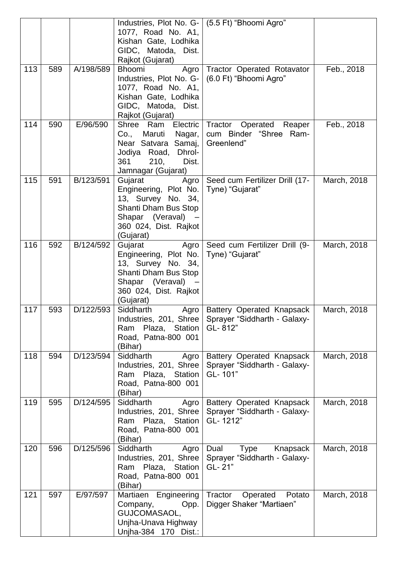|     |     |           | Industries, Plot No. G-   (5.5 Ft) "Bhoomi Agro"<br>1077, Road No. A1,<br>Kishan Gate, Lodhika<br>GIDC, Matoda, Dist.<br>Rajkot (Gujarat)          |                                                                           |             |
|-----|-----|-----------|----------------------------------------------------------------------------------------------------------------------------------------------------|---------------------------------------------------------------------------|-------------|
| 113 | 589 | A/198/589 | <b>Bhoomi</b><br>Agro<br>Industries, Plot No. G-<br>1077, Road No. A1,<br>Kishan Gate, Lodhika<br>GIDC, Matoda, Dist.<br>Rajkot (Gujarat)          | Tractor Operated Rotavator<br>(6.0 Ft) "Bhoomi Agro"                      | Feb., 2018  |
| 114 | 590 | E/96/590  | Shree Ram<br>Electric<br>Co.,<br>Maruti<br>Nagar,<br>Near Satvara Samaj,<br>Jodiya Road, Dhrol-<br>361<br>210,<br>Dist.<br>Jamnagar (Gujarat)      | Tractor Operated Reaper<br>cum Binder "Shree Ram-<br>Greenlend"           | Feb., 2018  |
| 115 | 591 | B/123/591 | Gujarat<br>Agro<br>Engineering, Plot No.<br>13, Survey No. 34,<br>Shanti Dham Bus Stop<br>Shapar (Veraval) -<br>360 024, Dist. Rajkot<br>(Gujarat) | Seed cum Fertilizer Drill (17-<br>Tyne) "Gujarat"                         | March, 2018 |
| 116 | 592 | B/124/592 | Gujarat<br>Agro<br>Engineering, Plot No.<br>13, Survey No. 34,<br>Shanti Dham Bus Stop<br>Shapar (Veraval)<br>360 024, Dist. Rajkot<br>(Gujarat)   | Seed cum Fertilizer Drill (9-<br>Tyne) "Gujarat"                          | March, 2018 |
| 117 | 593 | D/122/593 | Siddharth<br>Agro<br>Industries, 201, Shree<br>Plaza, Station<br>Ram<br>Road, Patna-800 001<br>(Bihar)                                             | Battery Operated Knapsack<br>Sprayer "Siddharth - Galaxy-<br>GL-812"      | March, 2018 |
| 118 | 594 | D/123/594 | Siddharth<br>Agro<br>Industries, 201, Shree<br>Plaza, Station<br>Ram<br>Road, Patna-800 001<br>(Bihar)                                             | Battery Operated Knapsack<br>Sprayer "Siddharth - Galaxy-<br>GL-101"      | March, 2018 |
| 119 | 595 | D/124/595 | Siddharth<br>Agro<br>Industries, 201, Shree<br>Ram Plaza, Station<br>Road, Patna-800 001<br>(Bihar)                                                | Battery Operated Knapsack<br>Sprayer "Siddharth - Galaxy-<br>GL-1212"     | March, 2018 |
| 120 | 596 | D/125/596 | Siddharth<br>Agro<br>Industries, 201, Shree<br>Plaza, Station<br>Ram<br>Road, Patna-800 001<br>(Bihar)                                             | Dual<br><b>Type</b><br>Knapsack<br>Sprayer "Siddharth - Galaxy-<br>GL-21" | March, 2018 |
| 121 | 597 | E/97/597  | Martiaen<br>Engineering<br>Company,<br>Opp.<br>GUJCOMASAOL,<br>Unjha-Unava Highway<br>Unjha-384 170 Dist.:                                         | Tractor<br>Operated<br>Potato<br>Digger Shaker "Martiaen"                 | March, 2018 |